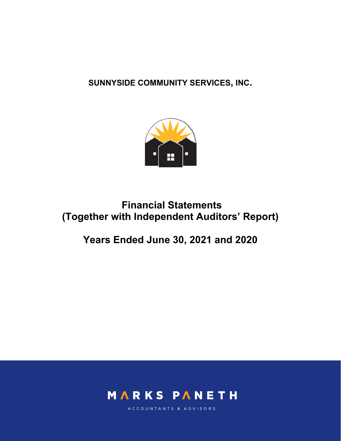**SUNNYSIDE COMMUNITY SERVICES, INC.** 



# **Financial Statements (Together with Independent Auditors' Report)**

# **Years Ended June 30, 2021 and 2020**



ACCOUNTANTS & ADVISORS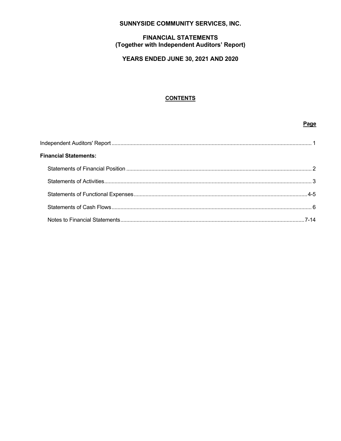# SUNNYSIDE COMMUNITY SERVICES, INC.

# **FINANCIAL STATEMENTS** (Together with Independent Auditors' Report)

# **YEARS ENDED JUNE 30, 2021 AND 2020**

# **CONTENTS**

Page

| <b>Financial Statements:</b> |  |
|------------------------------|--|
|                              |  |
|                              |  |
|                              |  |
|                              |  |
|                              |  |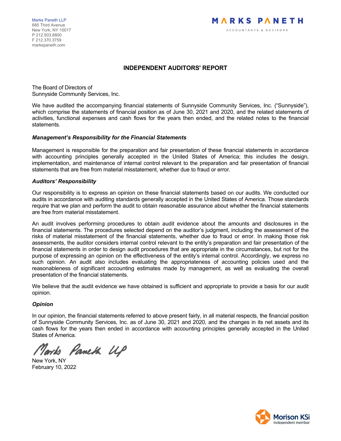Marks Paneth LLP 685 Third Avenue New York, NY 10017 P 212.503.8800 F 212.370.3759 markspaneth.com



# **INDEPENDENT AUDITORS' REPORT**

The Board of Directors of Sunnyside Community Services, Inc.

We have audited the accompanying financial statements of Sunnyside Community Services, Inc. ("Sunnyside"), which comprise the statements of financial position as of June 30, 2021 and 2020, and the related statements of activities, functional expenses and cash flows for the years then ended, and the related notes to the financial statements.

#### *Management's Responsibility for the Financial Statements*

Management is responsible for the preparation and fair presentation of these financial statements in accordance with accounting principles generally accepted in the United States of America; this includes the design, implementation, and maintenance of internal control relevant to the preparation and fair presentation of financial statements that are free from material misstatement, whether due to fraud or error.

#### *Auditors' Responsibility*

Our responsibility is to express an opinion on these financial statements based on our audits. We conducted our audits in accordance with auditing standards generally accepted in the United States of America. Those standards require that we plan and perform the audit to obtain reasonable assurance about whether the financial statements are free from material misstatement.

An audit involves performing procedures to obtain audit evidence about the amounts and disclosures in the financial statements. The procedures selected depend on the auditor's judgment, including the assessment of the risks of material misstatement of the financial statements, whether due to fraud or error. In making those risk assessments, the auditor considers internal control relevant to the entity's preparation and fair presentation of the financial statements in order to design audit procedures that are appropriate in the circumstances, but not for the purpose of expressing an opinion on the effectiveness of the entity's internal control. Accordingly, we express no such opinion. An audit also includes evaluating the appropriateness of accounting policies used and the reasonableness of significant accounting estimates made by management, as well as evaluating the overall presentation of the financial statements.

We believe that the audit evidence we have obtained is sufficient and appropriate to provide a basis for our audit opinion.

# *Opinion*

In our opinion, the financial statements referred to above present fairly, in all material respects, the financial position of Sunnyside Community Services, Inc. as of June 30, 2021 and 2020, and the changes in its net assets and its cash flows for the years then ended in accordance with accounting principles generally accepted in the United States of America.

arks Paneth UP

New York, NY February 10, 2022

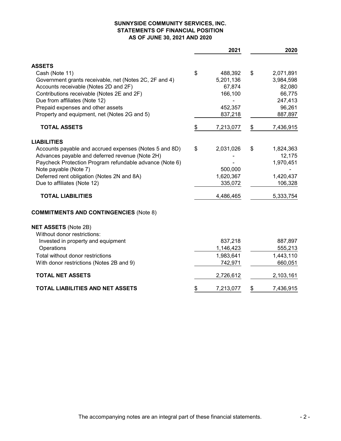# SUNNYSIDE COMMUNITY SERVICES, INC. STATEMENTS OF FINANCIAL POSITION AS OF JUNE 30, 2021 AND 2020

|                                                         | 2021            | 2020            |
|---------------------------------------------------------|-----------------|-----------------|
| <b>ASSETS</b>                                           |                 |                 |
| Cash (Note 11)                                          | \$<br>488,392   | \$<br>2,071,891 |
| Government grants receivable, net (Notes 2C, 2F and 4)  | 5,201,136       | 3,984,598       |
| Accounts receivable (Notes 2D and 2F)                   | 67,874          | 82,080          |
| Contributions receivable (Notes 2E and 2F)              | 166,100         | 66,775          |
| Due from affiliates (Note 12)                           |                 | 247,413         |
| Prepaid expenses and other assets                       | 452,357         | 96,261          |
| Property and equipment, net (Notes 2G and 5)            | 837,218         | 887,897         |
| <b>TOTAL ASSETS</b>                                     | \$<br>7,213,077 | \$<br>7,436,915 |
| <b>LIABILITIES</b>                                      |                 |                 |
| Accounts payable and accrued expenses (Notes 5 and 8D)  | \$<br>2,031,026 | \$<br>1,824,363 |
| Advances payable and deferred revenue (Note 2H)         |                 | 12,175          |
| Paycheck Protection Program refundable advance (Note 6) |                 | 1,970,451       |
| Note payable (Note 7)                                   | 500,000         |                 |
| Deferred rent obligation (Notes 2N and 8A)              | 1,620,367       | 1,420,437       |
| Due to affiliates (Note 12)                             | 335,072         | 106,328         |
| <b>TOTAL LIABILITIES</b>                                | 4,486,465       | 5,333,754       |
| <b>COMMITMENTS AND CONTINGENCIES (Note 8)</b>           |                 |                 |
| <b>NET ASSETS (Note 2B)</b>                             |                 |                 |
| Without donor restrictions:                             |                 |                 |
| Invested in property and equipment                      | 837,218         | 887,897         |
| Operations                                              | 1,146,423       | 555,213         |
| Total without donor restrictions                        | 1,983,641       | 1,443,110       |
| With donor restrictions (Notes 2B and 9)                | 742,971         | 660,051         |
| <b>TOTAL NET ASSETS</b>                                 | 2,726,612       | 2,103,161       |
| <b>TOTAL LIABILITIES AND NET ASSETS</b>                 | \$<br>7,213,077 | \$<br>7,436,915 |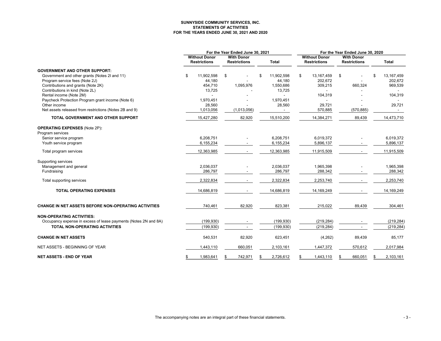#### SUNNYSIDE COMMUNITY SERVICES, INC. STATEMENTS OF ACTIVITIES FOR THE YEARS ENDED JUNE 30, 2021 AND 2020

|                                                                                                                                                                                                                                                                                                  |                                                                        | For the Year Ended June 30, 2021         |                                                                          | For the Year Ended June 30, 2020 |                                                         |    |                                          |    |                                                         |
|--------------------------------------------------------------------------------------------------------------------------------------------------------------------------------------------------------------------------------------------------------------------------------------------------|------------------------------------------------------------------------|------------------------------------------|--------------------------------------------------------------------------|----------------------------------|---------------------------------------------------------|----|------------------------------------------|----|---------------------------------------------------------|
|                                                                                                                                                                                                                                                                                                  | <b>Without Donor</b><br><b>Restrictions</b>                            | <b>With Donor</b><br><b>Restrictions</b> | <b>Total</b>                                                             |                                  | <b>Without Donor</b><br><b>Restrictions</b>             |    | <b>With Donor</b><br><b>Restrictions</b> |    | <b>Total</b>                                            |
| <b>GOVERNMENT AND OTHER SUPPORT:</b><br>Government and other grants (Notes 2I and 11)<br>Program service fees (Note 2J)<br>Contributions and grants (Note 2K)<br>Contributions in kind (Note 2L)<br>Rental income (Note 2M)<br>Paycheck Protection Program grant income (Note 6)<br>Other income | \$<br>11,902,598<br>44,180<br>454,710<br>13,725<br>1,970,451<br>28,560 | \$<br>1,095,976                          | \$<br>11,902,598<br>44,180<br>1,550,686<br>13,725<br>1,970,451<br>28,560 | \$                               | 13, 167, 459<br>202,672<br>309,215<br>104,319<br>29,721 | \$ | 660,324                                  | \$ | 13, 167, 459<br>202,672<br>969,539<br>104,319<br>29,721 |
| Net assets released from restrictions (Notes 2B and 9)<br>TOTAL GOVERNMENT AND OTHER SUPPORT                                                                                                                                                                                                     | 1,013,056<br>15,427,280                                                | (1,013,056)<br>82,920                    | $\sim$<br>15,510,200                                                     |                                  | 570,885<br>14,384,271                                   |    | (570, 885)<br>89,439                     |    | $\sim$<br>14,473,710                                    |
| <b>OPERATING EXPENSES (Note 2P):</b><br>Program services<br>Senior service program<br>Youth service program<br>Total program services                                                                                                                                                            | 6,208,751<br>6,155,234<br>12,363,985                                   | $\blacksquare$                           | 6,208,751<br>6,155,234<br>12,363,985                                     |                                  | 6,019,372<br>5,896,137<br>11,915,509                    |    | $\overline{\phantom{a}}$                 |    | 6,019,372<br>5,896,137<br>11,915,509                    |
| Supporting services<br>Management and general<br>Fundraising                                                                                                                                                                                                                                     | 2,036,037<br>286,797                                                   |                                          | 2,036,037<br>286,797                                                     |                                  | 1,965,398<br>288,342                                    |    |                                          |    | 1,965,398<br>288,342                                    |
| Total supporting services                                                                                                                                                                                                                                                                        | 2,322,834                                                              |                                          | 2,322,834                                                                |                                  | 2,253,740                                               |    | $\overline{\phantom{0}}$                 |    | 2,253,740                                               |
| <b>TOTAL OPERATING EXPENSES</b>                                                                                                                                                                                                                                                                  | 14,686,819                                                             |                                          | 14,686,819                                                               |                                  | 14,169,249                                              |    |                                          |    | 14,169,249                                              |
| <b>CHANGE IN NET ASSETS BEFORE NON-OPERATING ACTIVITIES</b>                                                                                                                                                                                                                                      | 740,461                                                                | 82,920                                   | 823,381                                                                  |                                  | 215,022                                                 |    | 89,439                                   |    | 304,461                                                 |
| <b>NON-OPERATING ACTIVITIES:</b><br>Occupancy expense in excess of lease payments (Notes 2N and 8A)<br><b>TOTAL NON-OPERATING ACTIVITIES</b>                                                                                                                                                     | (199, 930)<br>(199, 930)                                               |                                          | (199, 930)<br>(199, 930)                                                 |                                  | (219, 284)<br>(219, 284)                                |    |                                          |    | (219, 284)<br>(219, 284)                                |
| <b>CHANGE IN NET ASSETS</b>                                                                                                                                                                                                                                                                      | 540,531                                                                | 82,920                                   | 623,451                                                                  |                                  | (4,262)                                                 |    | 89,439                                   |    | 85,177                                                  |
| NET ASSETS - BEGINNING OF YEAR                                                                                                                                                                                                                                                                   | 1,443,110                                                              | 660,051                                  | 2,103,161                                                                |                                  | 1,447,372                                               |    | 570,612                                  |    | 2,017,984                                               |
| <b>NET ASSETS - END OF YEAR</b>                                                                                                                                                                                                                                                                  | \$<br>1,983,641                                                        | \$<br>742,971                            | \$<br>2,726,612                                                          | \$                               | 1,443,110                                               | \$ | 660,051                                  | \$ | 2,103,161                                               |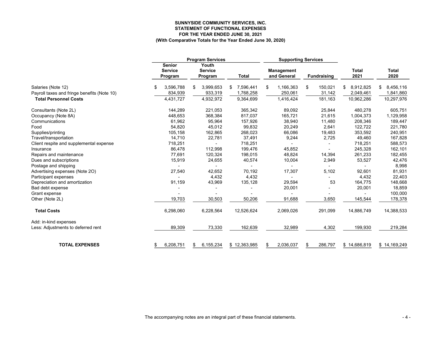#### SUNNYSIDE COMMUNITY SERVICES, INC. STATEMENT OF FUNCTIONAL EXPENSES FOR THE YEAR ENDED JUNE 30, 2021 (With Comparative Totals for the Year Ended June 30, 2020)

|                                             | <b>Program Services</b>                    |    |                                    | <b>Supporting Services</b> |    |                                  |    |                    |                      |    |                      |
|---------------------------------------------|--------------------------------------------|----|------------------------------------|----------------------------|----|----------------------------------|----|--------------------|----------------------|----|----------------------|
|                                             | <b>Senior</b><br><b>Service</b><br>Program |    | Youth<br><b>Service</b><br>Program | <b>Total</b>               |    | <b>Management</b><br>and General |    | <b>Fundraising</b> | <b>Total</b><br>2021 |    | <b>Total</b><br>2020 |
| Salaries (Note 12)                          | \$<br>3,596,788                            | \$ | 3,999,653                          | \$<br>7,596,441            | \$ | 1,166,363                        | \$ | 150,021            | \$<br>8,912,825      | \$ | 8,456,116            |
| Payroll taxes and fringe benefits (Note 10) | 834,939                                    |    | 933,319                            | 1,768,258                  |    | 250,061                          |    | 31,142             | 2,049,461            |    | 1,841,860            |
| <b>Total Personnel Costs</b>                | 4,431,727                                  |    | 4,932,972                          | 9,364,699                  |    | 1,416,424                        |    | 181,163            | 10,962,286           |    | 10,297,976           |
| Consultants (Note 2L)                       | 144,289                                    |    | 221,053                            | 365,342                    |    | 89,092                           |    | 25,844             | 480,278              |    | 605,751              |
| Occupancy (Note 8A)                         | 448,653                                    |    | 368,384                            | 817,037                    |    | 165,721                          |    | 21,615             | 1,004,373            |    | 1,129,958            |
| Communications                              | 61,962                                     |    | 95,964                             | 157,926                    |    | 38,940                           |    | 11,480             | 208,346              |    | 189,447              |
| Food                                        | 54,820                                     |    | 45,012                             | 99,832                     |    | 20,249                           |    | 2,641              | 122,722              |    | 221,780              |
| Supplies/printing                           | 105,158                                    |    | 162,865                            | 268,023                    |    | 66,086                           |    | 19,483             | 353,592              |    | 240,951              |
| Travel/transportation                       | 14,710                                     |    | 22,781                             | 37,491                     |    | 9,244                            |    | 2,725              | 49,460               |    | 167,828              |
| Client respite and supplemental expense     | 718,251                                    |    |                                    | 718,251                    |    |                                  |    |                    | 718,251              |    | 588,573              |
| Insurance                                   | 86,478                                     |    | 112,998                            | 199,476                    |    | 45,852                           |    |                    | 245,328              |    | 162,101              |
| Repairs and maintenance                     | 77,691                                     |    | 120,324                            | 198,015                    |    | 48,824                           |    | 14,394             | 261,233              |    | 182,455              |
| Dues and subscriptions                      | 15,919                                     |    | 24,655                             | 40,574                     |    | 10,004                           |    | 2,949              | 53,527               |    | 42,476               |
| Postage and shipping                        |                                            |    |                                    |                            |    |                                  |    |                    |                      |    | 8,998                |
| Advertising expenses (Note 2O)              | 27,540                                     |    | 42,652                             | 70,192                     |    | 17,307                           |    | 5,102              | 92,601               |    | 81,931               |
| Participant expenses                        |                                            |    | 4,432                              | 4,432                      |    |                                  |    |                    | 4,432                |    | 22,403               |
| Depreciation and amortization               | 91,159                                     |    | 43,969                             | 135,128                    |    | 29,594                           |    | 53                 | 164,775              |    | 148,668              |
| Bad debt expense                            |                                            |    |                                    |                            |    | 20,001                           |    |                    | 20,001               |    | 18,859               |
| Grant expense                               |                                            |    |                                    |                            |    |                                  |    |                    |                      |    | 100,000              |
| Other (Note 2L)                             | 19,703                                     |    | 30,503                             | 50,206                     |    | 91,688                           |    | 3,650              | 145,544              |    | 178,378              |
| <b>Total Costs</b>                          | 6,298,060                                  |    | 6,228,564                          | 12,526,624                 |    | 2,069,026                        |    | 291,099            | 14,886,749           |    | 14,388,533           |
| Add: in-kind expenses                       |                                            |    |                                    |                            |    |                                  |    |                    |                      |    |                      |
| Less: Adjustments to deferred rent          | 89,309                                     |    | 73,330                             | 162,639                    |    | 32,989                           |    | 4,302              | 199,930              |    | 219,284              |
| <b>TOTAL EXPENSES</b>                       | \$<br>6,208,751                            | \$ | 6,155,234                          | \$12,363,985               | \$ | 2,036,037                        | \$ | 286,797            | \$14,686,819         |    | \$14,169,249         |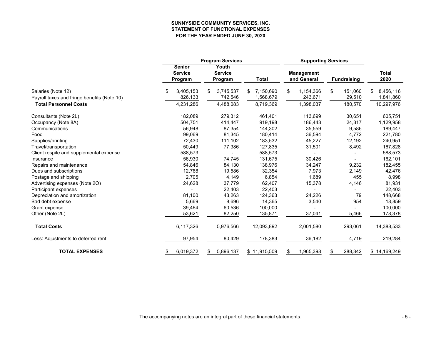#### SUNNYSIDE COMMUNITY SERVICES, INC. STATEMENT OF FUNCTIONAL EXPENSES FOR THE YEAR ENDED JUNE 30, 2020

|                                             |    | <b>Program Services</b>                    |    |                                    | <b>Supporting Services</b> |    |                                  |    |                    |                      |
|---------------------------------------------|----|--------------------------------------------|----|------------------------------------|----------------------------|----|----------------------------------|----|--------------------|----------------------|
|                                             |    | <b>Senior</b><br><b>Service</b><br>Program |    | Youth<br><b>Service</b><br>Program | <b>Total</b>               |    | <b>Management</b><br>and General |    | <b>Fundraising</b> | <b>Total</b><br>2020 |
| Salaries (Note 12)                          | S  | 3,405,153                                  | S  | 3,745,537                          | \$<br>7,150,690            | \$ | 1,154,366                        | \$ | 151,060            | 8,456,116<br>\$      |
| Payroll taxes and fringe benefits (Note 10) |    | 826,133                                    |    | 742,546                            | 1,568,679                  |    | 243,671                          |    | 29,510             | 1,841,860            |
| <b>Total Personnel Costs</b>                |    | 4,231,286                                  |    | 4,488,083                          | 8,719,369                  |    | 1,398,037                        |    | 180,570            | 10,297,976           |
| Consultants (Note 2L)                       |    | 182,089                                    |    | 279,312                            | 461,401                    |    | 113,699                          |    | 30,651             | 605,751              |
| Occupancy (Note 8A)                         |    | 504,751                                    |    | 414,447                            | 919,198                    |    | 186,443                          |    | 24,317             | 1,129,958            |
| Communications                              |    | 56,948                                     |    | 87,354                             | 144,302                    |    | 35,559                           |    | 9,586              | 189,447              |
| Food                                        |    | 99,069                                     |    | 81,345                             | 180,414                    |    | 36,594                           |    | 4,772              | 221,780              |
| Supplies/printing                           |    | 72,430                                     |    | 111,102                            | 183,532                    |    | 45,227                           |    | 12,192             | 240,951              |
| Travel/transportation                       |    | 50,449                                     |    | 77,386                             | 127,835                    |    | 31,501                           |    | 8,492              | 167,828              |
| Client respite and supplemental expense     |    | 588,573                                    |    |                                    | 588,573                    |    |                                  |    |                    | 588,573              |
| Insurance                                   |    | 56,930                                     |    | 74,745                             | 131,675                    |    | 30,426                           |    |                    | 162,101              |
| Repairs and maintenance                     |    | 54,846                                     |    | 84,130                             | 138,976                    |    | 34,247                           |    | 9,232              | 182,455              |
| Dues and subscriptions                      |    | 12,768                                     |    | 19,586                             | 32,354                     |    | 7,973                            |    | 2,149              | 42,476               |
| Postage and shipping                        |    | 2,705                                      |    | 4,149                              | 6,854                      |    | 1,689                            |    | 455                | 8,998                |
| Advertising expenses (Note 2O)              |    | 24,628                                     |    | 37,779                             | 62,407                     |    | 15,378                           |    | 4,146              | 81,931               |
| Participant expenses                        |    |                                            |    | 22,403                             | 22,403                     |    |                                  |    |                    | 22,403               |
| Depreciation and amortization               |    | 81,100                                     |    | 43,263                             | 124,363                    |    | 24,226                           |    | 79                 | 148,668              |
| Bad debt expense                            |    | 5,669                                      |    | 8,696                              | 14,365                     |    | 3,540                            |    | 954                | 18,859               |
| Grant expense                               |    | 39,464                                     |    | 60,536                             | 100,000                    |    |                                  |    |                    | 100,000              |
| Other (Note 2L)                             |    | 53,621                                     |    | 82,250                             | 135,871                    |    | 37,041                           |    | 5,466              | 178,378              |
| <b>Total Costs</b>                          |    | 6,117,326                                  |    | 5,976,566                          | 12,093,892                 |    | 2,001,580                        |    | 293,061            | 14,388,533           |
| Less: Adjustments to deferred rent          |    | 97,954                                     |    | 80,429                             | 178,383                    |    | 36,182                           |    | 4,719              | 219,284              |
| <b>TOTAL EXPENSES</b>                       | \$ | 6,019,372                                  | S. | 5,896,137                          | \$11,915,509               | S. | 1,965,398                        | \$ | 288,342            | \$14,169,249         |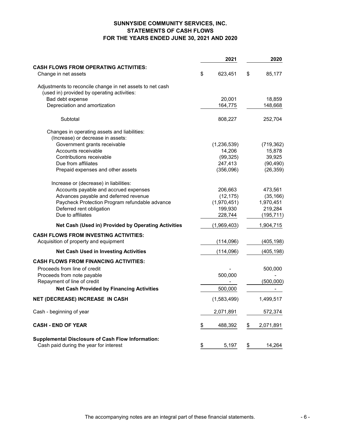# SUNNYSIDE COMMUNITY SERVICES, INC. STATEMENTS OF CASH FLOWS FOR THE YEARS ENDED JUNE 30, 2021 AND 2020

|                                                           |               | 2021        | 2020            |
|-----------------------------------------------------------|---------------|-------------|-----------------|
| <b>CASH FLOWS FROM OPERATING ACTIVITIES:</b>              |               |             |                 |
| Change in net assets                                      | \$            | 623,451     | \$<br>85,177    |
| Adjustments to reconcile change in net assets to net cash |               |             |                 |
| (used in) provided by operating activities:               |               |             |                 |
| Bad debt expense                                          |               | 20,001      | 18,859          |
| Depreciation and amortization                             |               | 164,775     | 148,668         |
| Subtotal                                                  |               | 808,227     | 252,704         |
| Changes in operating assets and liabilities:              |               |             |                 |
| (Increase) or decrease in assets:                         |               |             |                 |
| Government grants receivable                              |               | (1,236,539) | (719, 362)      |
| Accounts receivable                                       |               | 14,206      | 15,878          |
| Contributions receivable                                  |               | (99, 325)   | 39,925          |
| Due from affiliates                                       |               | 247,413     | (90, 490)       |
| Prepaid expenses and other assets                         |               | (356,096)   | (26, 359)       |
| Increase or (decrease) in liabilities:                    |               |             |                 |
| Accounts payable and accrued expenses                     |               | 206,663     | 473,561         |
| Advances payable and deferred revenue                     |               | (12, 175)   | (35, 166)       |
| Paycheck Protection Program refundable advance            |               | (1,970,451) | 1,970,451       |
| Deferred rent obligation                                  |               | 199,930     | 219,284         |
| Due to affiliates                                         |               | 228,744     | (195, 711)      |
| Net Cash (Used in) Provided by Operating Activities       |               | (1,969,403) | 1,904,715       |
| <b>CASH FLOWS FROM INVESTING ACTIVITIES:</b>              |               |             |                 |
| Acquisition of property and equipment                     |               | (114, 096)  | (405, 198)      |
| <b>Net Cash Used in Investing Activities</b>              |               | (114, 096)  | (405, 198)      |
| <b>CASH FLOWS FROM FINANCING ACTIVITIES:</b>              |               |             |                 |
| Proceeds from line of credit                              |               |             | 500,000         |
| Proceeds from note payable                                |               | 500,000     |                 |
| Repayment of line of credit                               |               |             | (500,000)       |
| <b>Net Cash Provided by Financing Activities</b>          |               | 500,000     |                 |
| NET (DECREASE) INCREASE IN CASH                           |               | (1,583,499) | 1,499,517       |
| Cash - beginning of year                                  |               | 2,071,891   | 572,374         |
| <b>CASH - END OF YEAR</b>                                 | $\frac{1}{2}$ | 488,392     | \$<br>2,071,891 |
| <b>Supplemental Disclosure of Cash Flow Information:</b>  |               |             |                 |
| Cash paid during the year for interest                    | \$            | 5,197       | \$<br>14,264    |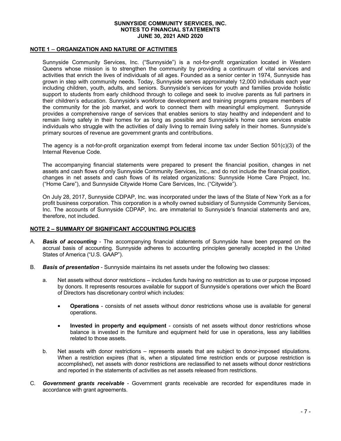# **NOTE 1** – **ORGANIZATION AND NATURE OF ACTIVITIES**

Sunnyside Community Services, Inc. ("Sunnyside") is a not-for-profit organization located in Western Queens whose mission is to strengthen the community by providing a continuum of vital services and activities that enrich the lives of individuals of all ages. Founded as a senior center in 1974, Sunnyside has grown in step with community needs. Today, Sunnyside serves approximately 12,000 individuals each year including children, youth, adults, and seniors. Sunnyside's services for youth and families provide holistic support to students from early childhood through to college and seek to involve parents as full partners in their children's education. Sunnyside's workforce development and training programs prepare members of the community for the job market, and work to connect them with meaningful employment. Sunnyside provides a comprehensive range of services that enables seniors to stay healthy and independent and to remain living safely in their homes for as long as possible and Sunnyside's home care services enable individuals who struggle with the activities of daily living to remain living safely in their homes. Sunnyside's primary sources of revenue are government grants and contributions.

The agency is a not-for-profit organization exempt from federal income tax under Section 501(c)(3) of the Internal Revenue Code.

The accompanying financial statements were prepared to present the financial position, changes in net assets and cash flows of only Sunnyside Community Services, Inc., and do not include the financial position, changes in net assets and cash flows of its related organizations: Sunnyside Home Care Project, Inc. ("Home Care"), and Sunnyside Citywide Home Care Services, Inc. ("Citywide").

On July 28, 2017, Sunnyside CDPAP, Inc. was incorporated under the laws of the State of New York as a for profit business corporation. This corporation is a wholly owned subsidiary of Sunnyside Community Services, Inc. The accounts of Sunnyside CDPAP, Inc. are immaterial to Sunnyside's financial statements and are, therefore, not included.

# **NOTE 2 – SUMMARY OF SIGNIFICANT ACCOUNTING POLICIES**

- A. *Basis of accounting* The accompanying financial statements of Sunnyside have been prepared on the accrual basis of accounting. Sunnyside adheres to accounting principles generally accepted in the United States of America ("U.S. GAAP").
- B. *Basis of presentation* Sunnyside maintains its net assets under the following two classes:
	- a. Net assets without donor restrictions includes funds having no restriction as to use or purpose imposed by donors. It represents resources available for support of Sunnyside's operations over which the Board of Directors has discretionary control which includes:
		- **Operations** consists of net assets without donor restrictions whose use is available for general operations.
		- **Invested in property and equipment** consists of net assets without donor restrictions whose balance is invested in the furniture and equipment held for use in operations, less any liabilities related to those assets.
	- b. Net assets with donor restrictions represents assets that are subject to donor-imposed stipulations. When a restriction expires (that is, when a stipulated time restriction ends or purpose restriction is accomplished), net assets with donor restrictions are reclassified to net assets without donor restrictions and reported in the statements of activities as net assets released from restrictions.
- C. *Government grants receivable*  Government grants receivable are recorded for expenditures made in accordance with grant agreements.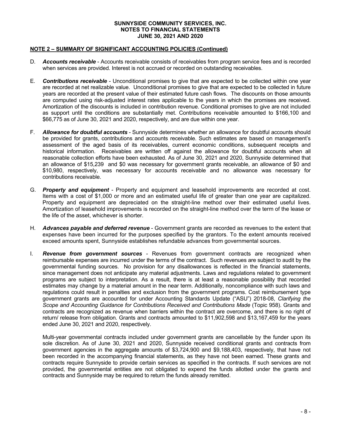# **NOTE 2 – SUMMARY OF SIGNIFICANT ACCOUNTING POLICIES (Continued)**

- D. *Accounts receivable* Accounts receivable consists of receivables from program service fees and is recorded when services are provided. Interest is not accrued or recorded on outstanding receivables.
- E. *Contributions receivable*  Unconditional promises to give that are expected to be collected within one year are recorded at net realizable value. Unconditional promises to give that are expected to be collected in future years are recorded at the present value of their estimated future cash flows. The discounts on those amounts are computed using risk-adjusted interest rates applicable to the years in which the promises are received. Amortization of the discounts is included in contribution revenue. Conditional promises to give are not included as support until the conditions are substantially met. Contributions receivable amounted to \$166,100 and \$66,775 as of June 30, 2021 and 2020, respectively, and are due within one year.
- F. *Allowance for doubtful accounts*  Sunnyside determines whether an allowance for doubtful accounts should be provided for grants, contributions and accounts receivable. Such estimates are based on management's assessment of the aged basis of its receivables, current economic conditions, subsequent receipts and historical information. Receivables are written off against the allowance for doubtful accounts when all reasonable collection efforts have been exhausted. As of June 30, 2021 and 2020, Sunnyside determined that an allowance of \$15,239 and \$0 was necessary for government grants receivable, an allowance of \$0 and \$10,980, respectively, was necessary for accounts receivable and no allowance was necessary for contributions receivable.
- G. *Property and equipment*  Property and equipment and leasehold improvements are recorded at cost. Items with a cost of \$1,000 or more and an estimated useful life of greater than one year are capitalized. Property and equipment are depreciated on the straight-line method over their estimated useful lives. Amortization of leasehold improvements is recorded on the straight-line method over the term of the lease or the life of the asset, whichever is shorter.
- H. *Advances payable and deferred revenue* Government grants are recorded as revenues to the extent that expenses have been incurred for the purposes specified by the grantors. To the extent amounts received exceed amounts spent, Sunnyside establishes refundable advances from governmental sources.
- I. *Revenue from government sources*  Revenues from government contracts are recognized when reimbursable expenses are incurred under the terms of the contract. Such revenues are subject to audit by the governmental funding sources. No provision for any disallowances is reflected in the financial statements, since management does not anticipate any material adjustments. Laws and regulations related to government programs are subject to interpretation. As a result, there is at least a reasonable possibility that recorded estimates may change by a material amount in the near term. Additionally, noncompliance with such laws and regulations could result in penalties and exclusion from the government programs. Cost reimbursement type government grants are accounted for under Accounting Standards Update ("ASU") 2018-08, *Clarifying the Scope and Accounting Guidance for Contributions Received and Contributions Made* (Topic 958). Grants and contracts are recognized as revenue when barriers within the contract are overcome, and there is no right of return/ release from obligation. Grants and contracts amounted to \$11,902,598 and \$13,167,459 for the years ended June 30, 2021 and 2020, respectively.

Multi-year governmental contracts included under government grants are cancellable by the funder upon its sole discretion. As of June 30, 2021 and 2020, Sunnyside received conditional grants and contracts from government agencies in the aggregate amounts of \$3,724,900 and \$9,188,403, respectively, that have not been recorded in the accompanying financial statements, as they have not been earned. These grants and contracts require Sunnyside to provide certain services as specified in the contracts. If such services are not provided, the governmental entities are not obligated to expend the funds allotted under the grants and contracts and Sunnyside may be required to return the funds already remitted.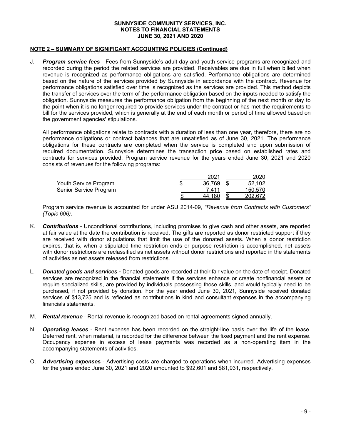# **NOTE 2 – SUMMARY OF SIGNIFICANT ACCOUNTING POLICIES (Continued)**

J. *Program service fees* - Fees from Sunnyside's adult day and youth service programs are recognized and recorded during the period the related services are provided. Receivables are due in full when billed when revenue is recognized as performance obligations are satisfied. Performance obligations are determined based on the nature of the services provided by Sunnyside in accordance with the contract. Revenue for performance obligations satisfied over time is recognized as the services are provided. This method depicts the transfer of services over the term of the performance obligation based on the inputs needed to satisfy the obligation. Sunnyside measures the performance obligation from the beginning of the next month or day to the point when it is no longer required to provide services under the contract or has met the requirements to bill for the services provided, which is generally at the end of each month or period of time allowed based on the government agencies' stipulations.

All performance obligations relate to contracts with a duration of less than one year, therefore, there are no performance obligations or contract balances that are unsatisfied as of June 30, 2021. The performance obligations for these contracts are completed when the service is completed and upon submission of required documentation. Sunnyside determines the transaction price based on established rates and contracts for services provided. Program service revenue for the years ended June 30, 2021 and 2020 consists of revenues for the following programs:

|                        | 2021   | 2020    |
|------------------------|--------|---------|
| Youth Service Program  | 36.769 | 52.102  |
| Senior Service Program |        | 150.570 |
|                        | 44.180 | 202,672 |

Program service revenue is accounted for under ASU 2014-09, *"Revenue from Contracts with Customers" (Topic 606)*.

- K. *Contributions*  Unconditional contributions, including promises to give cash and other assets, are reported at fair value at the date the contribution is received. The gifts are reported as donor restricted support if they are received with donor stipulations that limit the use of the donated assets. When a donor restriction expires, that is, when a stipulated time restriction ends or purpose restriction is accomplished, net assets with donor restrictions are reclassified as net assets without donor restrictions and reported in the statements of activities as net assets released from restrictions.
- L. *Donated goods and services* Donated goods are recorded at their fair value on the date of receipt. Donated services are recognized in the financial statements if the services enhance or create nonfinancial assets or require specialized skills, are provided by individuals possessing those skills, and would typically need to be purchased, if not provided by donation. For the year ended June 30, 2021, Sunnyside received donated services of \$13,725 and is reflected as contributions in kind and consultant expenses in the accompanying financials statements.
- M. *Rental revenue* Rental revenue is recognized based on rental agreements signed annually.
- N. *Operating leases* Rent expense has been recorded on the straight-line basis over the life of the lease. Deferred rent, when material, is recorded for the difference between the fixed payment and the rent expense. Occupancy expense in excess of lease payments was recorded as a non-operating item in the accompanying statements of activities.
- O. *Advertising expenses*  Advertising costs are charged to operations when incurred. Advertising expenses for the years ended June 30, 2021 and 2020 amounted to \$92,601 and \$81,931, respectively.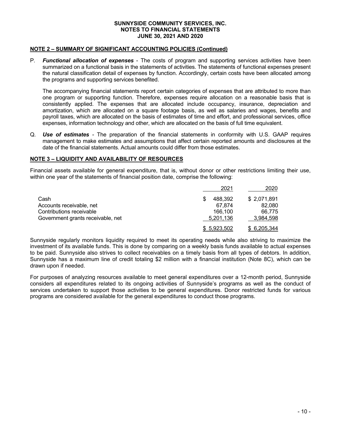# **NOTE 2 – SUMMARY OF SIGNIFICANT ACCOUNTING POLICIES (Continued)**

P. *Functional allocation of expenses* - The costs of program and supporting services activities have been summarized on a functional basis in the statements of activities. The statements of functional expenses present the natural classification detail of expenses by function. Accordingly, certain costs have been allocated among the programs and supporting services benefited.

The accompanying financial statements report certain categories of expenses that are attributed to more than one program or supporting function. Therefore, expenses require allocation on a reasonable basis that is consistently applied. The expenses that are allocated include occupancy, insurance, depreciation and amortization, which are allocated on a square footage basis, as well as salaries and wages, benefits and payroll taxes, which are allocated on the basis of estimates of time and effort, and professional services, office expenses, information technology and other, which are allocated on the basis of full time equivalent.

Q. *Use of estimates -* The preparation of the financial statements in conformity with U.S. GAAP requires management to make estimates and assumptions that affect certain reported amounts and disclosures at the date of the financial statements. Actual amounts could differ from those estimates.

# **NOTE 3 – LIQUIDITY AND AVAILABILITY OF RESOURCES**

Financial assets available for general expenditure, that is, without donor or other restrictions limiting their use, within one year of the statements of financial position date, comprise the following:

|                                   | 2021         | 2020        |
|-----------------------------------|--------------|-------------|
| Cash                              | 488.392      | \$2,071,891 |
| Accounts receivable, net          | 67.874       | 82,080      |
| Contributions receivable          | 166.100      | 66.775      |
| Government grants receivable, net | 5.201.136    | 3.984.598   |
|                                   | \$ 5,923,502 | \$6.205.344 |

Sunnyside regularly monitors liquidity required to meet its operating needs while also striving to maximize the investment of its available funds. This is done by comparing on a weekly basis funds available to actual expenses to be paid. Sunnyside also strives to collect receivables on a timely basis from all types of debtors. In addition, Sunnyside has a maximum line of credit totaling \$2 million with a financial institution (Note 8C), which can be drawn upon if needed.

For purposes of analyzing resources available to meet general expenditures over a 12-month period, Sunnyside considers all expenditures related to its ongoing activities of Sunnyside's programs as well as the conduct of services undertaken to support those activities to be general expenditures. Donor restricted funds for various programs are considered available for the general expenditures to conduct those programs.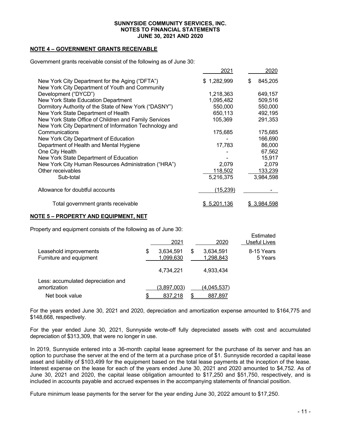# **NOTE 4 – GOVERNMENT GRANTS RECEIVABLE**

Government grants receivable consist of the following as of June 30:

|                                                                                                    | 2021        | 2020          |
|----------------------------------------------------------------------------------------------------|-------------|---------------|
| New York City Department for the Aging ("DFTA")<br>New York City Department of Youth and Community | \$1,282,999 | \$<br>845,205 |
| Development ("DYCD")                                                                               | 1,218,363   | 649,157       |
| New York State Education Department                                                                | 1,095,482   | 509,516       |
| Dormitory Authority of the State of New York ("DASNY")                                             | 550,000     | 550,000       |
| New York State Department of Health                                                                | 650,113     | 492,195       |
| New York State Office of Children and Family Services                                              | 105,369     | 291,353       |
| New York City Department of Information Technology and                                             |             |               |
| Communications                                                                                     | 175,685     | 175,685       |
| New York City Department of Education                                                              |             | 166,690       |
| Department of Health and Mental Hygiene                                                            | 17,783      | 86,000        |
| One City Health                                                                                    |             | 67,562        |
| New York State Department of Education                                                             |             | 15,917        |
| New York City Human Resources Administration ("HRA")                                               | 2,079       | 2,079         |
| Other receivables                                                                                  | 118,502     | 133,239       |
| Sub-total                                                                                          | 5,216,375   | 3,984,598     |
| Allowance for doubtful accounts                                                                    | (15, 239)   |               |
| Total government grants receivable                                                                 | 5,201,136   | 3,984,598     |

# **NOTE 5 – PROPERTY AND EQUIPMENT, NET**

Property and equipment consists of the following as of June 30:

|                                                    | 2021                         |   | 2020                   | Estimated<br>Useful Lives |
|----------------------------------------------------|------------------------------|---|------------------------|---------------------------|
| Leasehold improvements<br>Furniture and equipment  | \$<br>3,634,591<br>1,099,630 | S | 3,634,591<br>1,298,843 | 8-15 Years<br>5 Years     |
|                                                    | 4,734,221                    |   | 4,933,434              |                           |
| Less: accumulated depreciation and<br>amortization | (3,897,003)                  |   | <u>(4,045,537)</u>     |                           |
| Net book value                                     | \$<br>837.218                |   | 887.897                |                           |

For the years ended June 30, 2021 and 2020, depreciation and amortization expense amounted to \$164,775 and \$148,668, respectively.

For the year ended June 30, 2021, Sunnyside wrote-off fully depreciated assets with cost and accumulated depreciation of \$313,309, that were no longer in use.

In 2019, Sunnyside entered into a 36-month capital lease agreement for the purchase of its server and has an option to purchase the server at the end of the term at a purchase price of \$1. Sunnyside recorded a capital lease asset and liability of \$103,499 for the equipment based on the total lease payments at the inception of the lease. Interest expense on the lease for each of the years ended June 30, 2021 and 2020 amounted to \$4,752. As of June 30, 2021 and 2020, the capital lease obligation amounted to \$17,250 and \$51,750, respectively, and is included in accounts payable and accrued expenses in the accompanying statements of financial position.

Future minimum lease payments for the server for the year ending June 30, 2022 amount to \$17,250.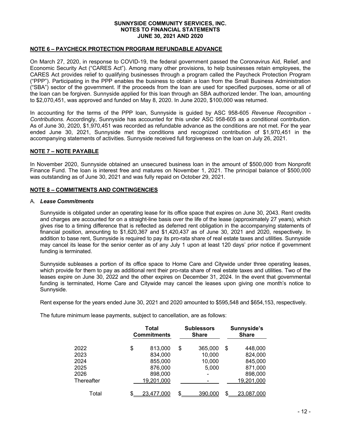# **NOTE 6 – PAYCHECK PROTECTION PROGRAM REFUNDABLE ADVANCE**

On March 27, 2020, in response to COVID-19, the federal government passed the Coronavirus Aid, Relief, and Economic Security Act ("CARES Act"). Among many other provisions, to help businesses retain employees, the CARES Act provides relief to qualifying businesses through a program called the Paycheck Protection Program ("PPP"). Participating in the PPP enables the business to obtain a loan from the Small Business Administration ("SBA") sector of the government. If the proceeds from the loan are used for specified purposes, some or all of the loan can be forgiven. Sunnyside applied for this loan through an SBA authorized lender. The loan, amounting to \$2,070,451, was approved and funded on May 8, 2020. In June 2020, \$100,000 was returned.

In accounting for the terms of the PPP loan, Sunnyside is guided by ASC 958-605 *Revenue Recognition - Contributions*. Accordingly, Sunnyside has accounted for this under ASC 958-605 as a conditional contribution. As of June 30, 2020, \$1,970,451 was recorded as refundable advance as the conditions are not met. For the year ended June 30, 2021, Sunnyside met the conditions and recognized contribution of \$1,970,451 in the accompanying statements of activities. Sunnyside received full forgiveness on the loan on July 26, 2021.

# **NOTE 7 – NOTE PAYABLE**

In November 2020, Sunnyside obtained an unsecured business loan in the amount of \$500,000 from Nonprofit Finance Fund. The loan is interest free and matures on November 1, 2021. The principal balance of \$500,000 was outstanding as of June 30, 2021 and was fully repaid on October 29, 2021.

# **NOTE 8 – COMMITMENTS AND CONTINGENCIES**

# A. *Lease Commitments*

Sunnyside is obligated under an operating lease for its office space that expires on June 30, 2043. Rent credits and charges are accounted for on a straight-line basis over the life of the lease (approximately 27 years), which gives rise to a timing difference that is reflected as deferred rent obligation in the accompanying statements of financial position, amounting to \$1,620,367 and \$1,420,437 as of June 30, 2021 and 2020, respectively. In addition to base rent, Sunnyside is required to pay its pro-rata share of real estate taxes and utilities. Sunnyside may cancel its lease for the senior center as of any July 1 upon at least 120 days' prior notice if government funding is terminated.

Sunnyside subleases a portion of its office space to Home Care and Citywide under three operating leases, which provide for them to pay as additional rent their pro-rata share of real estate taxes and utilities. Two of the leases expire on June 30, 2022 and the other expires on December 31, 2024. In the event that governmental funding is terminated, Home Care and Citywide may cancel the leases upon giving one month's notice to Sunnyside.

Rent expense for the years ended June 30, 2021 and 2020 amounted to \$595,548 and \$654,153, respectively.

The future minimum lease payments, subject to cancellation, are as follows:

|            | Total<br><b>Commitments</b> | <b>Sublessors</b><br><b>Share</b> |    | Sunnyside's<br><b>Share</b> |
|------------|-----------------------------|-----------------------------------|----|-----------------------------|
| 2022       | \$<br>813,000               | \$<br>365,000                     | \$ | 448,000                     |
| 2023       | 834,000                     | 10,000                            |    | 824,000                     |
| 2024       | 855,000                     | 10,000                            |    | 845,000                     |
| 2025       | 876,000                     | 5,000                             |    | 871,000                     |
| 2026       | 898,000                     | $\overline{\phantom{0}}$          |    | 898,000                     |
| Thereafter | 19,201,000                  |                                   |    | 19,201,000                  |
| Total      | \$<br>23,477,000            | \$<br>390,000                     | \$ | 23,087,000                  |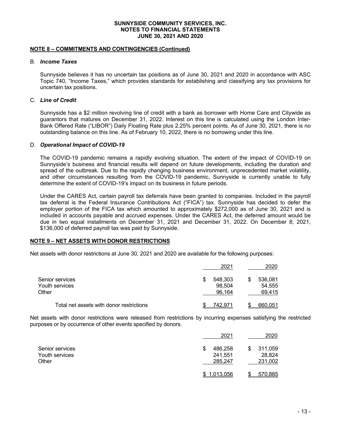# **NOTE 8 – COMMITMENTS AND CONTINGENCIES (Continued)**

#### B. *Income Taxes*

Sunnyside believes it has no uncertain tax positions as of June 30, 2021 and 2020 in accordance with ASC Topic 740, "Income Taxes," which provides standards for establishing and classifying any tax provisions for uncertain tax positions.

# C. *Line of Credit*

Sunnyside has a \$2 million revolving line of credit with a bank as borrower with Home Care and Citywide as guarantors that matures on December 31, 2022. Interest on this line is calculated using the London Inter-Bank Offered Rate ("LIBOR") Daily Floating Rate plus 2.25% percent points. As of June 30, 2021, there is no outstanding balance on this line. As of February 10, 2022, there is no borrowing under this line.

# D. *Operational Impact of COVID-19*

The COVID-19 pandemic remains a rapidly evolving situation. The extent of the impact of COVID-19 on Sunnyside's business and financial results will depend on future developments, including the duration and spread of the outbreak. Due to the rapidly changing business environment, unprecedented market volatility, and other circumstances resulting from the COVID-19 pandemic, Sunnyside is currently unable to fully determine the extent of COVID-19's impact on its business in future periods.

Under the CARES Act, certain payroll tax deferrals have been granted to companies. Included in the payroll tax deferral is the Federal Insurance Contributions Act ("FICA") tax. Sunnyside has decided to defer the employer portion of the FICA tax which amounted to approximately \$272,000 as of June 30, 2021 and is included in accounts payable and accrued expenses. Under the CARES Act, the deferred amount would be due in two equal installments on December 31, 2021 and December 31, 2022. On December 8, 2021, \$136,000 of deferred payroll tax was paid by Sunnyside.

# **NOTE 9 – NET ASSETS WITH DONOR RESTRICTIONS**

Net assets with donor restrictions at June 30, 2021 and 2020 are available for the following purposes:

|                                            | 2021                        | 2020                        |
|--------------------------------------------|-----------------------------|-----------------------------|
| Senior services<br>Youth services<br>Other | 548.303<br>98.504<br>96.164 | 536,081<br>54,555<br>69,415 |
| Total net assets with donor restrictions   | 742 971                     | 660.051                     |

Net assets with donor restrictions were released from restrictions by incurring expenses satisfying the restricted purposes or by occurrence of other events specified by donors.

|                                            | 2021                          | 2020                              |
|--------------------------------------------|-------------------------------|-----------------------------------|
| Senior services<br>Youth services<br>Other | 486,258<br>241,551<br>285.247 | 311,059<br>S<br>28,824<br>231,002 |
|                                            | \$1,013,056                   | 570,885                           |